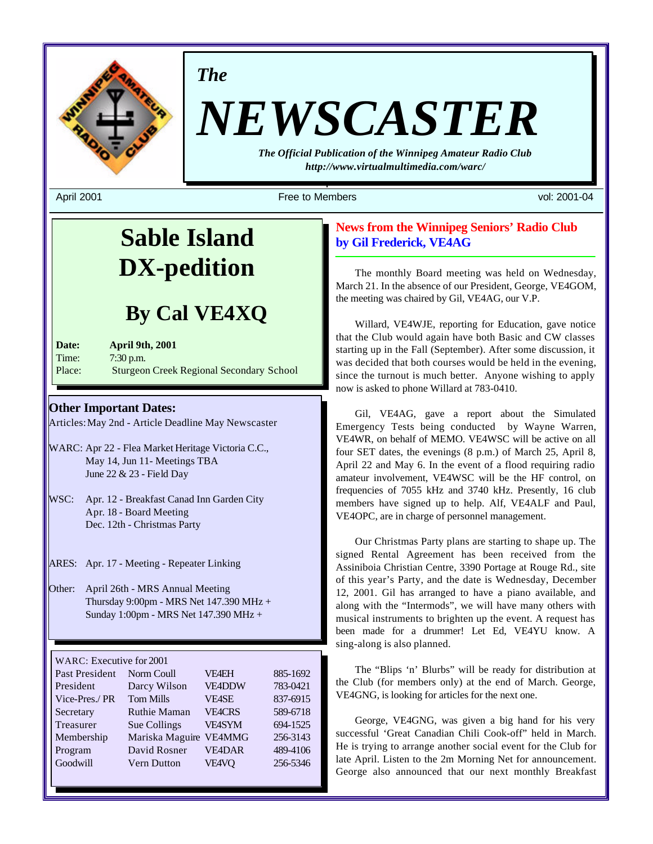

*The*

# *NEWSCASTER*

*The Official Publication of the Winnipeg Amateur Radio Club http://www.virtualmultimedia.com/warc/*

April 2001 Free to Members vol: 2001-04

# **Sable Island DX-pedition**

# **By Cal VE4XQ**

| Date:  | <b>April 9th, 2001</b>                          |
|--------|-------------------------------------------------|
| Time:  | $7:30$ p.m.                                     |
| Place: | <b>Sturgeon Creek Regional Secondary School</b> |

#### **Other Important Dates:**

Articles: May 2nd - Article Deadline May Newscaster

- WARC: Apr 22 Flea Market Heritage Victoria C.C., May 14, Jun 11- Meetings TBA June 22 & 23 - Field Day
- WSC: Apr. 12 Breakfast Canad Inn Garden City Apr. 18 - Board Meeting Dec. 12th - Christmas Party

ARES: Apr. 17 - Meeting - Repeater Linking

Other: April 26th - MRS Annual Meeting Thursday 9:00pm - MRS Net 147.390 MHz + Sunday 1:00pm - MRS Net 147.390 MHz +

WARC: Executive for 2001

| Past President | Norm Coull          | <b>VF4EH</b>  | 885-1692 |
|----------------|---------------------|---------------|----------|
| President      | Darcy Wilson        | <b>VE4DDW</b> | 783-0421 |
| Vice-Pres./PR  | <b>Tom Mills</b>    | <b>VE4SE</b>  | 837-6915 |
| Secretary      | <b>Ruthie Maman</b> | <b>VE4CRS</b> | 589-6718 |
| Treasurer      | Sue Collings        | <b>VE4SYM</b> | 694-1525 |
| Membership     | Mariska Maguire     | <b>VE4MMG</b> | 256-3143 |
| Program        | David Rosner        | <b>VE4DAR</b> | 489-4106 |
| Goodwill       | <b>Vern Dutton</b>  | VE4VO         | 256-5346 |
|                |                     |               |          |

#### **News from the Winnipeg Seniors' Radio Club by Gil Frederick, VE4AG**

The monthly Board meeting was held on Wednesday, March 21. In the absence of our President, George, VE4GOM, the meeting was chaired by Gil, VE4AG, our V.P.

Willard, VE4WJE, reporting for Education, gave notice that the Club would again have both Basic and CW classes starting up in the Fall (September). After some discussion, it was decided that both courses would be held in the evening, since the turnout is much better. Anyone wishing to apply now is asked to phone Willard at 783-0410.

Gil, VE4AG, gave a report about the Simulated Emergency Tests being conducted by Wayne Warren, VE4WR, on behalf of MEMO. VE4WSC will be active on all four SET dates, the evenings (8 p.m.) of March 25, April 8, April 22 and May 6. In the event of a flood requiring radio amateur involvement, VE4WSC will be the HF control, on frequencies of 7055 kHz and 3740 kHz. Presently, 16 club members have signed up to help. Alf, VE4ALF and Paul, VE4OPC, are in charge of personnel management.

Our Christmas Party plans are starting to shape up. The signed Rental Agreement has been received from the Assiniboia Christian Centre, 3390 Portage at Rouge Rd., site of this year's Party, and the date is Wednesday, December 12, 2001. Gil has arranged to have a piano available, and along with the "Intermods", we will have many others with musical instruments to brighten up the event. A request has been made for a drummer! Let Ed, VE4YU know. A sing-along is also planned.

The "Blips 'n' Blurbs" will be ready for distribution at the Club (for members only) at the end of March. George, VE4GNG, is looking for articles for the next one.

George, VE4GNG, was given a big hand for his very successful 'Great Canadian Chili Cook-off" held in March. He is trying to arrange another social event for the Club for late April. Listen to the 2m Morning Net for announcement. George also announced that our next monthly Breakfast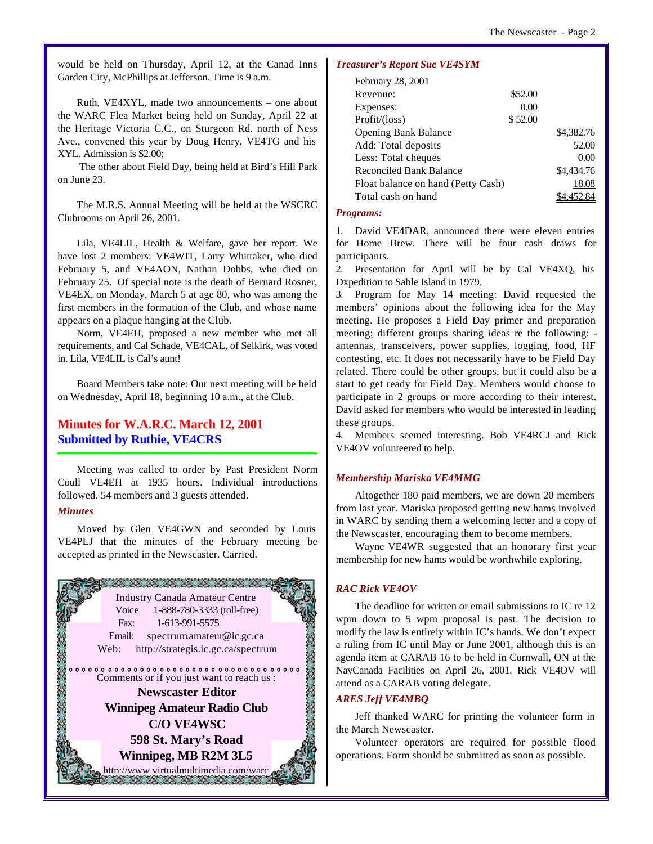would be held on Thursday, April 12, at the Canad Inns Garden City, McPhillips at Jefferson. Time is 9 a.m.

Ruth, VE4XYL, made two announcements – one about the WARC Flea Market being held on Sunday, April 22 at the Heritage Victoria C.C., on Sturgeon Rd. north of Ness Ave., convened this year by Doug Henry, VE4TG and his XYL. Admission is \$2.00;

 The other about Field Day, being held at Bird's Hill Park on June 23.

The M.R.S. Annual Meeting will be held at the WSCRC Clubrooms on April 26, 2001.

Lila, VE4LIL, Health & Welfare, gave her report. We have lost 2 members: VE4WIT, Larry Whittaker, who died February 5, and VE4AON, Nathan Dobbs, who died on February 25. Of special note is the death of Bernard Rosner, VE4EX, on Monday, March 5 at age 80, who was among the first members in the formation of the Club, and whose name appears on a plaque hanging at the Club.

Norm, VE4EH, proposed a new member who met all requirements, and Cal Schade, VE4CAL, of Selkirk, was voted in. Lila, VE4LIL is Cal's aunt!

Board Members take note: Our next meeting will be held on Wednesday, April 18, beginning 10 a.m., at the Club.

#### **Minutes for W.A.R.C. March 12, 2001 Submitted by Ruthie, VE4CRS**

Meeting was called to order by Past President Norm Coull VE4EH at 1935 hours. Individual introductions followed. 54 members and 3 guests attended.

#### *Minutes*

Moved by Glen VE4GWN and seconded by Louis VE4PLJ that the minutes of the February meeting be accepted as printed in the Newscaster. Carried.



#### *Treasurer's Report Sue VE4SYM*

| February 28, 2001                  |         |            |
|------------------------------------|---------|------------|
| Revenue:                           | \$52.00 |            |
| Expenses:                          | 0.00    |            |
| Profit/ (loss)                     | \$52.00 |            |
| <b>Opening Bank Balance</b>        |         | \$4,382.76 |
| Add: Total deposits                |         | 52.00      |
| Less: Total cheques                |         | 0.00       |
| <b>Reconciled Bank Balance</b>     |         | \$4,434.76 |
| Float balance on hand (Petty Cash) |         | 18.08      |
| Total cash on hand                 |         |            |

#### *Programs:*

1. David VE4DAR, announced there were eleven entries for Home Brew. There will be four cash draws for participants.

2. Presentation for April will be by Cal VE4XQ, his Dxpedition to Sable Island in 1979.

3. Program for May 14 meeting: David requested the members' opinions about the following idea for the May meeting. He proposes a Field Day primer and preparation meeting; different groups sharing ideas re the following: antennas, transceivers, power supplies, logging, food, HF contesting, etc. It does not necessarily have to be Field Day related. There could be other groups, but it could also be a start to get ready for Field Day. Members would choose to participate in 2 groups or more according to their interest. David asked for members who would be interested in leading these groups.

4. Members seemed interesting. Bob VE4RCJ and Rick VE4OV volunteered to help.

#### *Membership Mariska VE4MMG*

Altogether 180 paid members, we are down 20 members from last year. Mariska proposed getting new hams involved in WARC by sending them a welcoming letter and a copy of the Newscaster, encouraging them to become members.

Wayne VE4WR suggested that an honorary first year membership for new hams would be worthwhile exploring.

#### *RAC Rick VE4OV*

The deadline for written or email submissions to IC re 12 wpm down to 5 wpm proposal is past. The decision to modify the law is entirely within IC's hands. We don't expect a ruling from IC until May or June 2001, although this is an agenda item at CARAB 16 to be held in Cornwall, ON at the NavCanada Facilities on April 26, 2001. Rick VE4OV will attend as a CARAB voting delegate.

#### *ARES Jeff VE4MBQ*

Jeff thanked WARC for printing the volunteer form in the March Newscaster.

Volunteer operators are required for possible flood operations. Form should be submitted as soon as possible.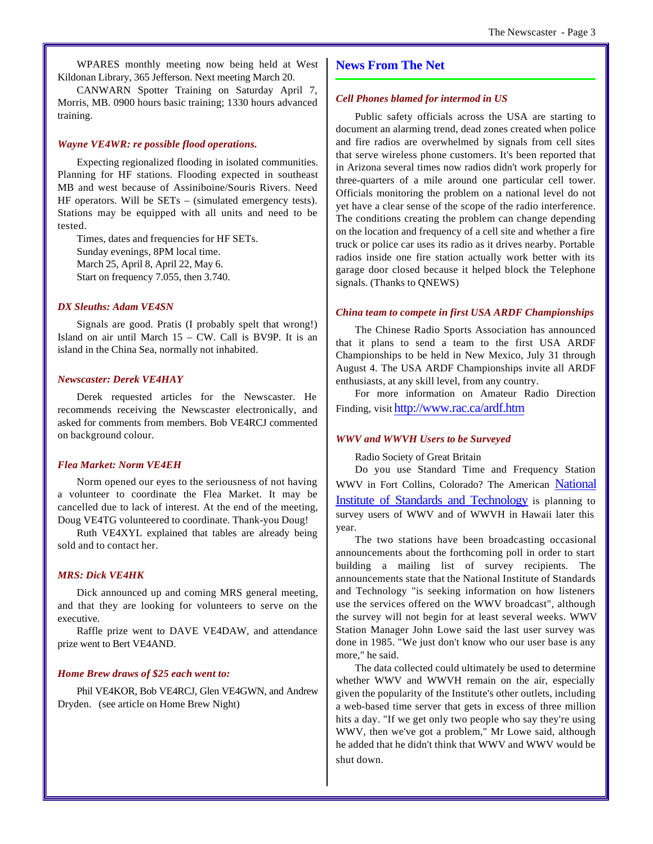WPARES monthly meeting now being held at West Kildonan Library, 365 Jefferson. Next meeting March 20.

CANWARN Spotter Training on Saturday April 7, Morris, MB. 0900 hours basic training; 1330 hours advanced training.

#### *Wayne VE4WR: re possible flood operations.*

Expecting regionalized flooding in isolated communities. Planning for HF stations. Flooding expected in southeast MB and west because of Assiniboine/Souris Rivers. Need HF operators. Will be SETs – (simulated emergency tests). Stations may be equipped with all units and need to be tested.

Times, dates and frequencies for HF SETs. Sunday evenings, 8PM local time. March 25, April 8, April 22, May 6. Start on frequency 7.055, then 3.740.

#### *DX Sleuths: Adam VE4SN*

Signals are good. Pratis (I probably spelt that wrong!) Island on air until March 15 – CW. Call is BV9P. It is an island in the China Sea, normally not inhabited.

#### *Newscaster: Derek VE4HAY*

Derek requested articles for the Newscaster. He recommends receiving the Newscaster electronically, and asked for comments from members. Bob VE4RCJ commented on background colour.

#### *Flea Market: Norm VE4EH*

Norm opened our eyes to the seriousness of not having a volunteer to coordinate the Flea Market. It may be cancelled due to lack of interest. At the end of the meeting, Doug VE4TG volunteered to coordinate. Thank-you Doug!

Ruth VE4XYL explained that tables are already being sold and to contact her.

#### *MRS: Dick VE4HK*

Dick announced up and coming MRS general meeting, and that they are looking for volunteers to serve on the executive.

Raffle prize went to DAVE VE4DAW, and attendance prize went to Bert VE4AND.

#### *Home Brew draws of \$25 each went to:*

Phil VE4KOR, Bob VE4RCJ, Glen VE4GWN, and Andrew Dryden. (see article on Home Brew Night)

#### **News From The Net**

#### *Cell Phones blamed for intermod in US*

Public safety officials across the USA are starting to document an alarming trend, dead zones created when police and fire radios are overwhelmed by signals from cell sites that serve wireless phone customers. It's been reported that in Arizona several times now radios didn't work properly for three-quarters of a mile around one particular cell tower. Officials monitoring the problem on a national level do not yet have a clear sense of the scope of the radio interference. The conditions creating the problem can change depending on the location and frequency of a cell site and whether a fire truck or police car uses its radio as it drives nearby. Portable radios inside one fire station actually work better with its garage door closed because it helped block the Telephone signals. (Thanks to QNEWS)

#### *China team to compete in first USA ARDF Championships*

The Chinese Radio Sports Association has announced that it plans to send a team to the first USA ARDF Championships to be held in New Mexico, July 31 through August 4. The USA ARDF Championships invite all ARDF enthusiasts, at any skill level, from any country.

For more information on Amateur Radio Direction Finding, visit http://www.rac.ca/ardf.htm

#### *WWV and WWVH Users to be Surveyed*

#### Radio Society of Great Britain

Do you use Standard Time and Frequency Station WWV in Fort Collins, Colorado? The American National Institute of Standards and Technology is planning to survey users of WWV and of WWVH in Hawaii later this year.

The two stations have been broadcasting occasional announcements about the forthcoming poll in order to start building a mailing list of survey recipients. The announcements state that the National Institute of Standards and Technology "is seeking information on how listeners use the services offered on the WWV broadcast", although the survey will not begin for at least several weeks. WWV Station Manager John Lowe said the last user survey was done in 1985. "We just don't know who our user base is any more," he said.

The data collected could ultimately be used to determine whether WWV and WWVH remain on the air, especially given the popularity of the Institute's other outlets, including a web-based time server that gets in excess of three million hits a day. "If we get only two people who say they're using WWV, then we've got a problem," Mr Lowe said, although he added that he didn't think that WWV and WWV would be shut down.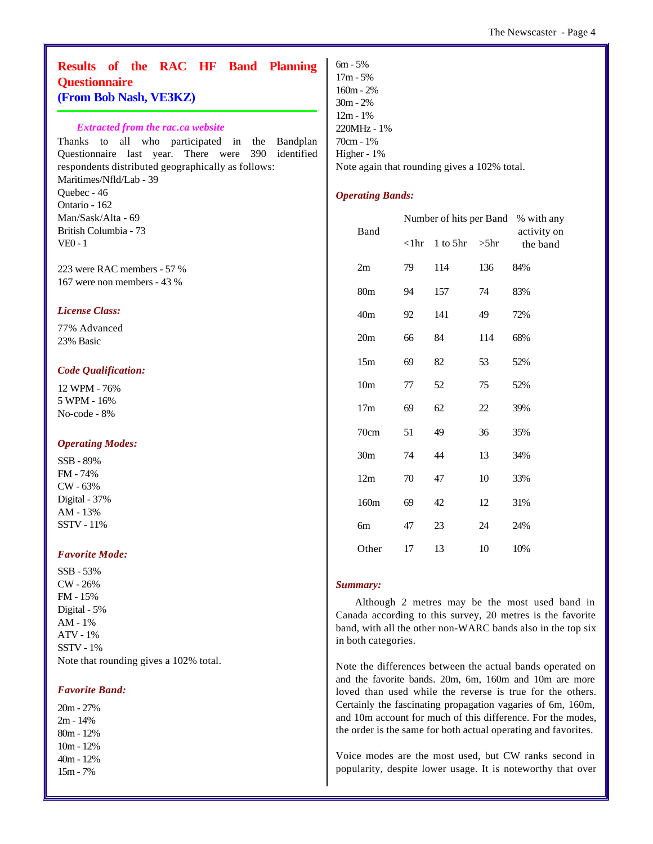#### **Results of the RAC HF Band Planning Questionnaire (From Bob Nash, VE3KZ)**

#### *Extracted from the rac.ca website*

Thanks to all who participated in the Bandplan Questionnaire last year. There were 390 identified respondents distributed geographically as follows: Maritimes/Nfld/Lab - 39 Quebec - 46 Ontario - 162 Man/Sask/Alta - 69 British Columbia - 73 VE0 - 1

223 were RAC members - 57 % 167 were non members - 43 %

#### *License Class:*

77% Advanced 23% Basic

#### *Code Qualification:*

12 WPM - 76% 5 WPM - 16% No-code - 8%

#### *Operating Modes:*

SSB - 89% FM - 74% CW - 63% Digital - 37% AM - 13% SSTV - 11%

#### *Favorite Mode:*

SSB - 53% CW - 26% FM - 15% Digital - 5% AM - 1% ATV - 1% SSTV - 1% Note that rounding gives a 102% total.

#### *Favorite Band:*

20m - 27% 2m - 14% 80m - 12% 10m - 12% 40m - 12% 15m - 7%

6m - 5% 17m - 5% 160m - 2% 30m - 2% 12m - 1% 220MHz - 1% 70cm - 1% Higher - 1% Note again that rounding gives a 102% total.

#### *Operating Bands:*

| Band            |                | Number of hits per Band | % with any |                         |
|-----------------|----------------|-------------------------|------------|-------------------------|
|                 | $<$ l $\rm hr$ | $1$ to $5hr$            | $>5$ hr    | activity on<br>the band |
| 2m              | 79             | 114                     | 136        | 84%                     |
| 80 <sub>m</sub> | 94             | 157                     | 74         | 83%                     |
| 40 <sub>m</sub> | 92             | 141                     | 49         | 72%                     |
| 20m             | 66             | 84                      | 114        | 68%                     |
| 15m             | 69             | 82                      | 53         | 52%                     |
| 10 <sub>m</sub> | 77             | 52                      | 75         | 52%                     |
| 17 <sub>m</sub> | 69             | 62                      | 22         | 39%                     |
| 70cm            | 51             | 49                      | 36         | 35%                     |
| 30 <sub>m</sub> | 74             | 44                      | 13         | 34%                     |
| 12m             | 70             | 47                      | 10         | 33%                     |
| 160m            | 69             | 42                      | 12         | 31%                     |
| 6m              | 47             | 23                      | 24         | 24%                     |
| Other           | 17             | 13                      | 10         | 10%                     |

#### *Summary:*

Although 2 metres may be the most used band in Canada according to this survey, 20 metres is the favorite band, with all the other non-WARC bands also in the top six in both categories.

Note the differences between the actual bands operated on and the favorite bands. 20m, 6m, 160m and 10m are more loved than used while the reverse is true for the others. Certainly the fascinating propagation vagaries of 6m, 160m, and 10m account for much of this difference. For the modes, the order is the same for both actual operating and favorites.

Voice modes are the most used, but CW ranks second in popularity, despite lower usage. It is noteworthy that over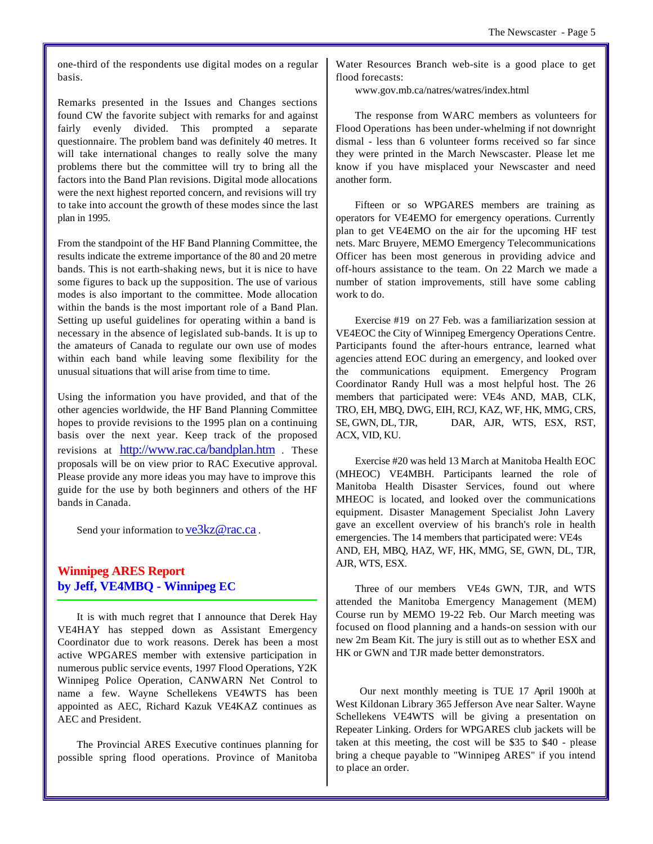one-third of the respondents use digital modes on a regular basis.

Remarks presented in the Issues and Changes sections found CW the favorite subject with remarks for and against fairly evenly divided. This prompted a separate questionnaire. The problem band was definitely 40 metres. It will take international changes to really solve the many problems there but the committee will try to bring all the factors into the Band Plan revisions. Digital mode allocations were the next highest reported concern, and revisions will try to take into account the growth of these modes since the last plan in 1995.

From the standpoint of the HF Band Planning Committee, the results indicate the extreme importance of the 80 and 20 metre bands. This is not earth-shaking news, but it is nice to have some figures to back up the supposition. The use of various modes is also important to the committee. Mode allocation within the bands is the most important role of a Band Plan. Setting up useful guidelines for operating within a band is necessary in the absence of legislated sub-bands. It is up to the amateurs of Canada to regulate our own use of modes within each band while leaving some flexibility for the unusual situations that will arise from time to time.

Using the information you have provided, and that of the other agencies worldwide, the HF Band Planning Committee hopes to provide revisions to the 1995 plan on a continuing basis over the next year. Keep track of the proposed revisions at http://www.rac.ca/bandplan.htm . These proposals will be on view prior to RAC Executive approval. Please provide any more ideas you may have to improve this guide for the use by both beginners and others of the HF bands in Canada.

Send your information to ve3kz@rac.ca.

#### **Winnipeg ARES Report by Jeff, VE4MBQ - Winnipeg EC**

It is with much regret that I announce that Derek Hay VE4HAY has stepped down as Assistant Emergency Coordinator due to work reasons. Derek has been a most active WPGARES member with extensive participation in numerous public service events, 1997 Flood Operations, Y2K Winnipeg Police Operation, CANWARN Net Control to name a few. Wayne Schellekens VE4WTS has been appointed as AEC, Richard Kazuk VE4KAZ continues as AEC and President.

The Provincial ARES Executive continues planning for possible spring flood operations. Province of Manitoba

Water Resources Branch web-site is a good place to get flood forecasts:

www.gov.mb.ca/natres/watres/index.html

The response from WARC members as volunteers for Flood Operations has been under-whelming if not downright dismal - less than 6 volunteer forms received so far since they were printed in the March Newscaster. Please let me know if you have misplaced your Newscaster and need another form.

Fifteen or so WPGARES members are training as operators for VE4EMO for emergency operations. Currently plan to get VE4EMO on the air for the upcoming HF test nets. Marc Bruyere, MEMO Emergency Telecommunications Officer has been most generous in providing advice and off-hours assistance to the team. On 22 March we made a number of station improvements, still have some cabling work to do.

Exercise #19 on 27 Feb. was a familiarization session at VE4EOC the City of Winnipeg Emergency Operations Centre. Participants found the after-hours entrance, learned what agencies attend EOC during an emergency, and looked over the communications equipment. Emergency Program Coordinator Randy Hull was a most helpful host. The 26 members that participated were: VE4s AND, MAB, CLK, TRO, EH, MBQ, DWG, EIH, RCJ, KAZ, WF, HK, MMG, CRS, SE, GWN, DL, TJR, DAR, AJR, WTS, ESX, RST, ACX, VID, KU.

Exercise #20 was held 13 March at Manitoba Health EOC (MHEOC) VE4MBH. Participants learned the role of Manitoba Health Disaster Services, found out where MHEOC is located, and looked over the communications equipment. Disaster Management Specialist John Lavery gave an excellent overview of his branch's role in health emergencies. The 14 members that participated were: VE4s AND, EH, MBQ, HAZ, WF, HK, MMG, SE, GWN, DL, TJR, AJR, WTS, ESX.

Three of our members VE4s GWN, TJR, and WTS attended the Manitoba Emergency Management (MEM) Course run by MEMO 19-22 Feb. Our March meeting was focused on flood planning and a hands-on session with our new 2m Beam Kit. The jury is still out as to whether ESX and HK or GWN and TJR made better demonstrators.

 Our next monthly meeting is TUE 17 April 1900h at West Kildonan Library 365 Jefferson Ave near Salter. Wayne Schellekens VE4WTS will be giving a presentation on Repeater Linking. Orders for WPGARES club jackets will be taken at this meeting, the cost will be \$35 to \$40 - please bring a cheque payable to "Winnipeg ARES" if you intend to place an order.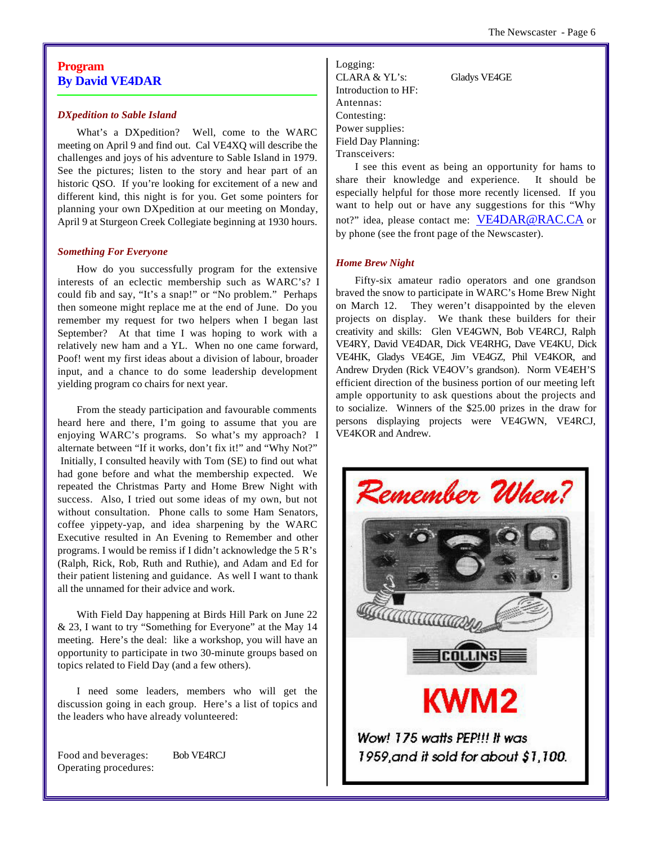#### **Program By David VE4DAR**

#### *DXpedition to Sable Island*

What's a DXpedition? Well, come to the WARC meeting on April 9 and find out. Cal VE4XQ will describe the challenges and joys of his adventure to Sable Island in 1979. See the pictures; listen to the story and hear part of an historic QSO. If you're looking for excitement of a new and different kind, this night is for you. Get some pointers for planning your own DXpedition at our meeting on Monday, April 9 at Sturgeon Creek Collegiate beginning at 1930 hours.

#### *Something For Everyone*

How do you successfully program for the extensive interests of an eclectic membership such as WARC's? I could fib and say, "It's a snap!" or "No problem." Perhaps then someone might replace me at the end of June. Do you remember my request for two helpers when I began last September? At that time I was hoping to work with a relatively new ham and a YL. When no one came forward, Poof! went my first ideas about a division of labour, broader input, and a chance to do some leadership development yielding program co chairs for next year.

From the steady participation and favourable comments heard here and there, I'm going to assume that you are enjoying WARC's programs. So what's my approach? I alternate between "If it works, don't fix it!" and "Why Not?" Initially, I consulted heavily with Tom (SE) to find out what had gone before and what the membership expected. We repeated the Christmas Party and Home Brew Night with success. Also, I tried out some ideas of my own, but not without consultation. Phone calls to some Ham Senators, coffee yippety-yap, and idea sharpening by the WARC Executive resulted in An Evening to Remember and other programs. I would be remiss if I didn't acknowledge the 5 R's (Ralph, Rick, Rob, Ruth and Ruthie), and Adam and Ed for their patient listening and guidance. As well I want to thank all the unnamed for their advice and work.

With Field Day happening at Birds Hill Park on June 22 & 23, I want to try "Something for Everyone" at the May 14 meeting. Here's the deal: like a workshop, you will have an opportunity to participate in two 30-minute groups based on topics related to Field Day (and a few others).

I need some leaders, members who will get the discussion going in each group. Here's a list of topics and the leaders who have already volunteered:

Food and beverages: Bob VE4RCJ Operating procedures:

Logging: CLARA & YL's: Gladys VE4GE Introduction to HF: Antennas: Contesting: Power supplies: Field Day Planning:

Transceivers: I see this event as being an opportunity for hams to share their knowledge and experience. It should be especially helpful for those more recently licensed. If you want to help out or have any suggestions for this "Why not?" idea, please contact me: VE4DAR@RAC.CA or

by phone (see the front page of the Newscaster).

#### *Home Brew Night*

Fifty-six amateur radio operators and one grandson braved the snow to participate in WARC's Home Brew Night on March 12. They weren't disappointed by the eleven projects on display. We thank these builders for their creativity and skills: Glen VE4GWN, Bob VE4RCJ, Ralph VE4RY, David VE4DAR, Dick VE4RHG, Dave VE4KU, Dick VE4HK, Gladys VE4GE, Jim VE4GZ, Phil VE4KOR, and Andrew Dryden (Rick VE4OV's grandson). Norm VE4EH'S efficient direction of the business portion of our meeting left ample opportunity to ask questions about the projects and to socialize. Winners of the \$25.00 prizes in the draw for persons displaying projects were VE4GWN, VE4RCJ, VE4KOR and Andrew.

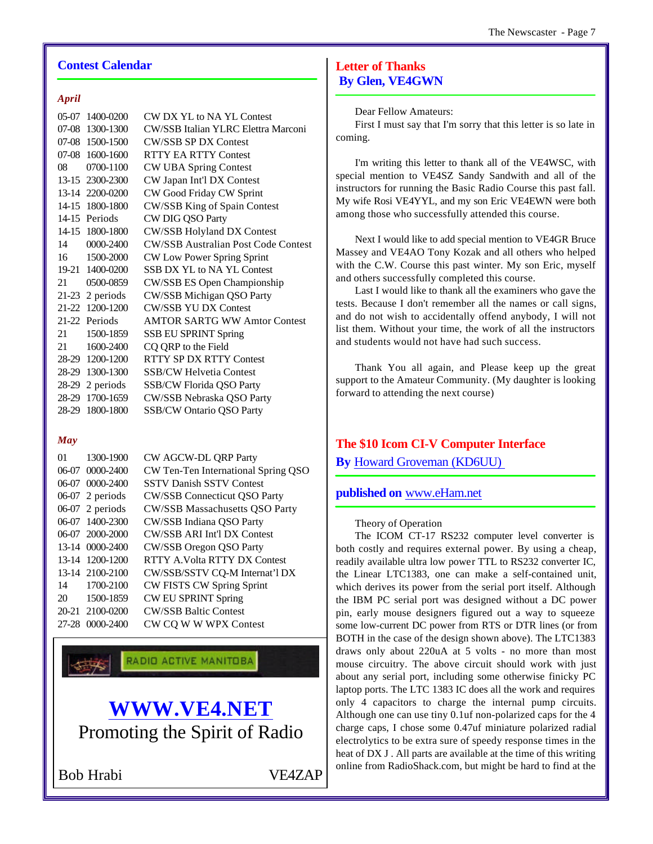#### **Contest Calendar**

#### *April*

| 1400-0200         | CW DX YL to NA YL Contest                  |
|-------------------|--------------------------------------------|
| 1300-1300         | CW/SSB Italian YLRC Elettra Marconi        |
| 07-08 1500-1500   | <b>CW/SSB SP DX Contest</b>                |
| 07-08 1600-1600   | <b>RTTY EA RTTY Contest</b>                |
| 0700-1100         | <b>CW UBA Spring Contest</b>               |
| 13-15 2300-2300   | CW Japan Int'l DX Contest                  |
| 13-14 2200-0200   | CW Good Friday CW Sprint                   |
| 14-15 1800-1800   | CW/SSB King of Spain Contest               |
| 14-15<br>Periods  | CW DIG QSO Party                           |
| 14-15 1800-1800   | <b>CW/SSB Holyland DX Contest</b>          |
| 0000-2400         | <b>CW/SSB Australian Post Code Contest</b> |
| 1500-2000         | CW Low Power Spring Sprint                 |
| 19-21 1400-0200   | SSB DX YL to NA YL Contest                 |
| 0500-0859         | CW/SSB ES Open Championship                |
| $21-23$ 2 periods | CW/SSB Michigan QSO Party                  |
| 21-22 1200-1200   | <b>CW/SSB YU DX Contest</b>                |
| 21-22 Periods     | <b>AMTOR SARTG WW Amtor Contest</b>        |
| 1500-1859         | SSB EU SPRINT Spring                       |
| 1600-2400         | CQ QRP to the Field                        |
| 28-29 1200-1200   | RTTY SP DX RTTY Contest                    |
| 28-29 1300-1300   | <b>SSB/CW Helvetia Contest</b>             |
| $28-29$ 2 periods | SSB/CW Florida QSO Party                   |
| 28-29 1700-1659   | CW/SSB Nebraska QSO Party                  |
| 1800-1800         | <b>SSB/CW Ontario QSO Party</b>            |
|                   |                                            |

#### *May*

| 01        | 1300-1900         | CW AGCW-DL QRP Party                  |
|-----------|-------------------|---------------------------------------|
|           | 06-07 0000-2400   | CW Ten-Ten International Spring QSO   |
|           | 06-07 0000-2400   | <b>SSTV Danish SSTV Contest</b>       |
|           | $06-07$ 2 periods | <b>CW/SSB Connecticut OSO Party</b>   |
|           | $06-07$ 2 periods | <b>CW/SSB Massachusetts QSO Party</b> |
|           | 06-07 1400-2300   | CW/SSB Indiana QSO Party              |
|           | 06-07 2000-2000   | CW/SSB ARI Int'l DX Contest           |
|           | 13-14 0000-2400   | CW/SSB Oregon QSO Party               |
|           | 13-14 1200-1200   | RTTY A Volta RTTY DX Contest          |
|           | 13-14 2100-2100   | CW/SSB/SSTV CQ-M Internat'l DX        |
| 14        | 1700-2100         | <b>CW FISTS CW Spring Sprint</b>      |
| 20        | 1500-1859         | <b>CW EU SPRINT Spring</b>            |
|           | 20-21 2100-0200   | <b>CW/SSB Baltic Contest</b>          |
| $27 - 28$ | $0000 - 2400$     | CW CO W W WPX Contest                 |
|           |                   |                                       |

RADIO ACTIVE MANITOBA

## **WWW.VE4.NET** Promoting the Spirit of Radio

Bob Hrabi VE4ZAP

#### **Letter of Thanks By Glen, VE4GWN**

Dear Fellow Amateurs:

First I must say that I'm sorry that this letter is so late in coming.

I'm writing this letter to thank all of the VE4WSC, with special mention to VE4SZ Sandy Sandwith and all of the instructors for running the Basic Radio Course this past fall. My wife Rosi VE4YYL, and my son Eric VE4EWN were both among those who successfully attended this course.

Next I would like to add special mention to VE4GR Bruce Massey and VE4AO Tony Kozak and all others who helped with the C.W. Course this past winter. My son Eric, myself and others successfully completed this course.

Last I would like to thank all the examiners who gave the tests. Because I don't remember all the names or call signs, and do not wish to accidentally offend anybody, I will not list them. Without your time, the work of all the instructors and students would not have had such success.

Thank You all again, and Please keep up the great support to the Amateur Community. (My daughter is looking forward to attending the next course)

#### **The \$10 Icom CI-V Computer Interface**

**By** Howard Groveman (KD6UU)

#### **published on** www.eHam.net

#### Theory of Operation

The ICOM CT-17 RS232 computer level converter is both costly and requires external power. By using a cheap, readily available ultra low power TTL to RS232 converter IC, the Linear LTC1383, one can make a self-contained unit, which derives its power from the serial port itself. Although the IBM PC serial port was designed without a DC power pin, early mouse designers figured out a way to squeeze some low-current DC power from RTS or DTR lines (or from BOTH in the case of the design shown above). The LTC1383 draws only about 220uA at 5 volts - no more than most mouse circuitry. The above circuit should work with just about any serial port, including some otherwise finicky PC laptop ports. The LTC 1383 IC does all the work and requires only 4 capacitors to charge the internal pump circuits. Although one can use tiny 0.1uf non-polarized caps for the 4 charge caps, I chose some 0.47uf miniature polarized radial electrolytics to be extra sure of speedy response times in the heat of DX J . All parts are available at the time of this writing online from RadioShack.com, but might be hard to find at the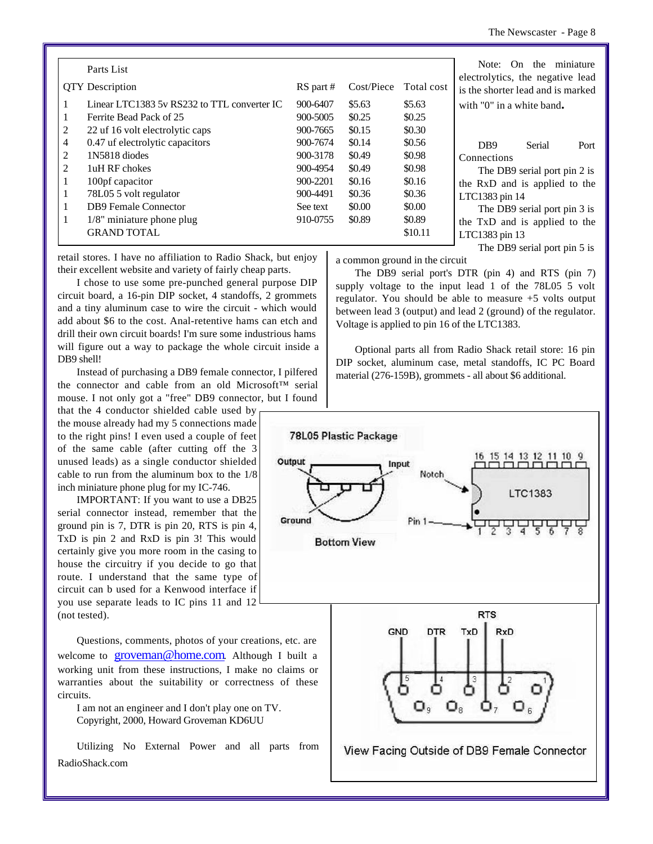|   | Parts List                                  |           |            |            | miniature<br>On<br>the<br>Note:<br>electrolytics, the negative lead             |
|---|---------------------------------------------|-----------|------------|------------|---------------------------------------------------------------------------------|
|   | <b>QTY</b> Description                      | RS part # | Cost/Piece | Total cost | is the shorter lead and is marked                                               |
|   | Linear LTC1383 5y RS232 to TTL converter IC | 900-6407  | \$5.63     | \$5.63     | with "0" in a white band.                                                       |
|   | Ferrite Bead Pack of 25                     | 900-5005  | \$0.25     | \$0.25     |                                                                                 |
| 2 | 22 uf 16 volt electrolytic caps             | 900-7665  | \$0.15     | \$0.30     |                                                                                 |
| 4 | 0.47 uf electrolytic capacitors             | 900-7674  | \$0.14     | \$0.56     | Serial<br>D <sub>B9</sub><br>Port                                               |
| 2 | 1N5818 diodes                               | 900-3178  | \$0.49     | \$0.98     | Connections                                                                     |
| 2 | 1uH RF chokes                               | 900-4954  | \$0.49     | \$0.98     | The DB9 serial port pin 2 is                                                    |
|   | 100pf capacitor                             | 900-2201  | \$0.16     | \$0.16     | the RxD and is applied to the<br>LTC1383 pin 14<br>The DB9 serial port pin 3 is |
|   | 78L05 5 volt regulator                      | 900-4491  | \$0.36     | \$0.36     |                                                                                 |
|   | <b>DB9</b> Female Connector                 | See text  | \$0.00     | \$0.00     |                                                                                 |
|   | $1/8$ " miniature phone plug                | 910-0755  | \$0.89     | \$0.89     | the TxD and is applied to the                                                   |
|   | <b>GRAND TOTAL</b>                          |           |            | \$10.11    | LTC1383 pin 13                                                                  |
|   |                                             |           |            |            | The DB9 serial port pin 5 is                                                    |

retail stores. I have no affiliation to Radio Shack, but enjoy their excellent website and variety of fairly cheap parts.

I chose to use some pre-punched general purpose DIP circuit board, a 16-pin DIP socket, 4 standoffs, 2 grommets and a tiny aluminum case to wire the circuit - which would add about \$6 to the cost. Anal-retentive hams can etch and drill their own circuit boards! I'm sure some industrious hams will figure out a way to package the whole circuit inside a DB9 shell!

Instead of purchasing a DB9 female connector, I pilfered the connector and cable from an old Microsoft™ serial mouse. I not only got a "free" DB9 connector, but I found

that the 4 conductor shielded cable used by the mouse already had my 5 connections made to the right pins! I even used a couple of feet of the same cable (after cutting off the 3 unused leads) as a single conductor shielded cable to run from the aluminum box to the 1/8 inch miniature phone plug for my IC-746.

IMPORTANT: If you want to use a DB25 serial connector instead, remember that the ground pin is 7, DTR is pin 20, RTS is pin 4, TxD is pin 2 and RxD is pin 3! This would certainly give you more room in the casing to house the circuitry if you decide to go that route. I understand that the same type of circuit can b used for a Kenwood interface if you use separate leads to IC pins 11 and 12 (not tested).

Questions, comments, photos of your creations, etc. are welcome to groveman@home.com. Although I built a working unit from these instructions, I make no claims or warranties about the suitability or correctness of these circuits.

I am not an engineer and I don't play one on TV. Copyright, 2000, Howard Groveman KD6UU

Utilizing No External Power and all parts from RadioShack.com

a common ground in the circuit

The DB9 serial port's DTR (pin 4) and RTS (pin 7) supply voltage to the input lead 1 of the 78L05 5 volt regulator. You should be able to measure +5 volts output between lead 3 (output) and lead 2 (ground) of the regulator. Voltage is applied to pin 16 of the LTC1383.

Optional parts all from Radio Shack retail store: 16 pin DIP socket, aluminum case, metal standoffs, IC PC Board material (276-159B), grommets - all about \$6 additional.

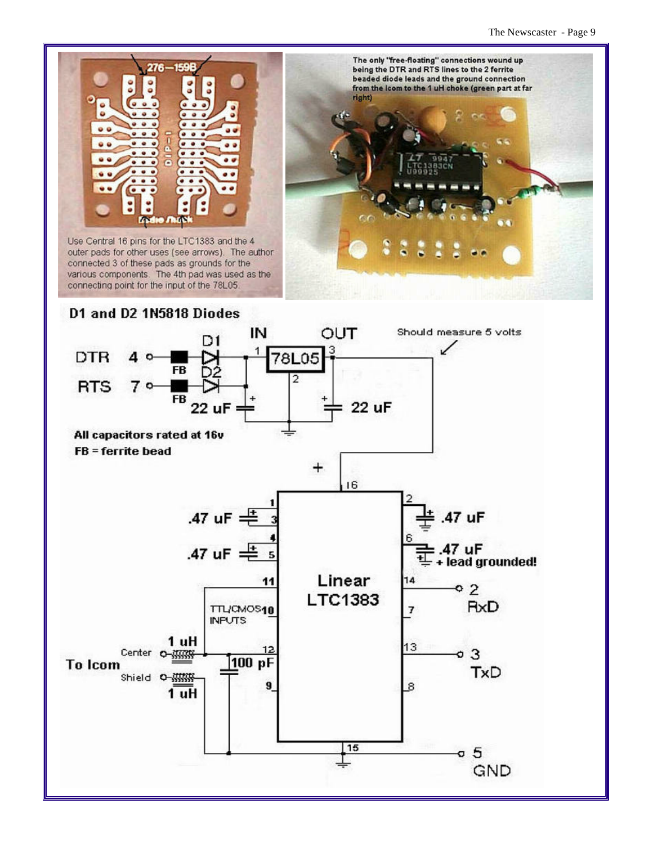

outer pads for other uses (see arrows). The author connected 3 of these pads as grounds for the various components. The 4th pad was used as the connecting point for the input of the 78L05.